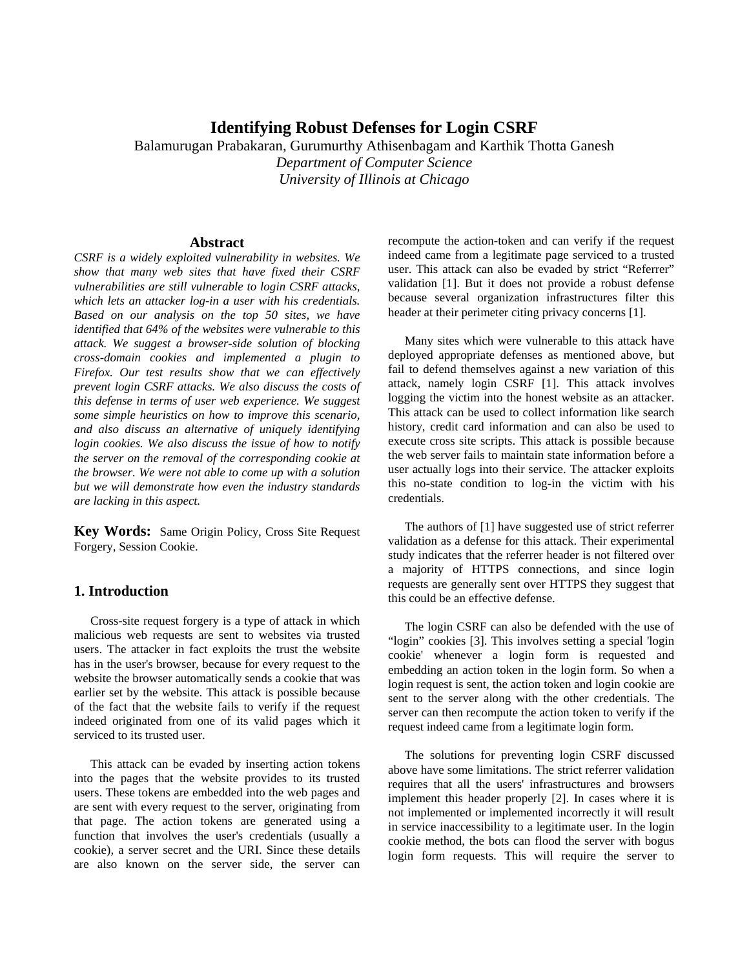## **Identifying Robust Defenses for Login CSRF**

Balamurugan Prabakaran, Gurumurthy Athisenbagam and Karthik Thotta Ganesh *Department of Computer Science University of Illinois at Chicago* 

### **Abstract**

*CSRF is a widely exploited vulnerability in websites. We show that many web sites that have fixed their CSRF vulnerabilities are still vulnerable to login CSRF attacks, which lets an attacker log-in a user with his credentials. Based on our analysis on the top 50 sites, we have identified that 64% of the websites were vulnerable to this attack. We suggest a browser-side solution of blocking cross-domain cookies and implemented a plugin to Firefox. Our test results show that we can effectively prevent login CSRF attacks. We also discuss the costs of this defense in terms of user web experience. We suggest some simple heuristics on how to improve this scenario, and also discuss an alternative of uniquely identifying login cookies. We also discuss the issue of how to notify the server on the removal of the corresponding cookie at the browser. We were not able to come up with a solution but we will demonstrate how even the industry standards are lacking in this aspect.* 

**Key Words:** Same Origin Policy, Cross Site Request Forgery, Session Cookie.

## **1. Introduction**

Cross-site request forgery is a type of attack in which malicious web requests are sent to websites via trusted users. The attacker in fact exploits the trust the website has in the user's browser, because for every request to the website the browser automatically sends a cookie that was earlier set by the website. This attack is possible because of the fact that the website fails to verify if the request indeed originated from one of its valid pages which it serviced to its trusted user.

This attack can be evaded by inserting action tokens into the pages that the website provides to its trusted users. These tokens are embedded into the web pages and are sent with every request to the server, originating from that page. The action tokens are generated using a function that involves the user's credentials (usually a cookie), a server secret and the URI. Since these details are also known on the server side, the server can recompute the action-token and can verify if the request indeed came from a legitimate page serviced to a trusted user. This attack can also be evaded by strict "Referrer" validation [1]. But it does not provide a robust defense because several organization infrastructures filter this header at their perimeter citing privacy concerns [1].

Many sites which were vulnerable to this attack have deployed appropriate defenses as mentioned above, but fail to defend themselves against a new variation of this attack, namely login CSRF [1]. This attack involves logging the victim into the honest website as an attacker. This attack can be used to collect information like search history, credit card information and can also be used to execute cross site scripts. This attack is possible because the web server fails to maintain state information before a user actually logs into their service. The attacker exploits this no-state condition to log-in the victim with his credentials.

The authors of [1] have suggested use of strict referrer validation as a defense for this attack. Their experimental study indicates that the referrer header is not filtered over a majority of HTTPS connections, and since login requests are generally sent over HTTPS they suggest that this could be an effective defense.

The login CSRF can also be defended with the use of "login" cookies [3]. This involves setting a special 'login cookie' whenever a login form is requested and embedding an action token in the login form. So when a login request is sent, the action token and login cookie are sent to the server along with the other credentials. The server can then recompute the action token to verify if the request indeed came from a legitimate login form.

The solutions for preventing login CSRF discussed above have some limitations. The strict referrer validation requires that all the users' infrastructures and browsers implement this header properly [2]. In cases where it is not implemented or implemented incorrectly it will result in service inaccessibility to a legitimate user. In the login cookie method, the bots can flood the server with bogus login form requests. This will require the server to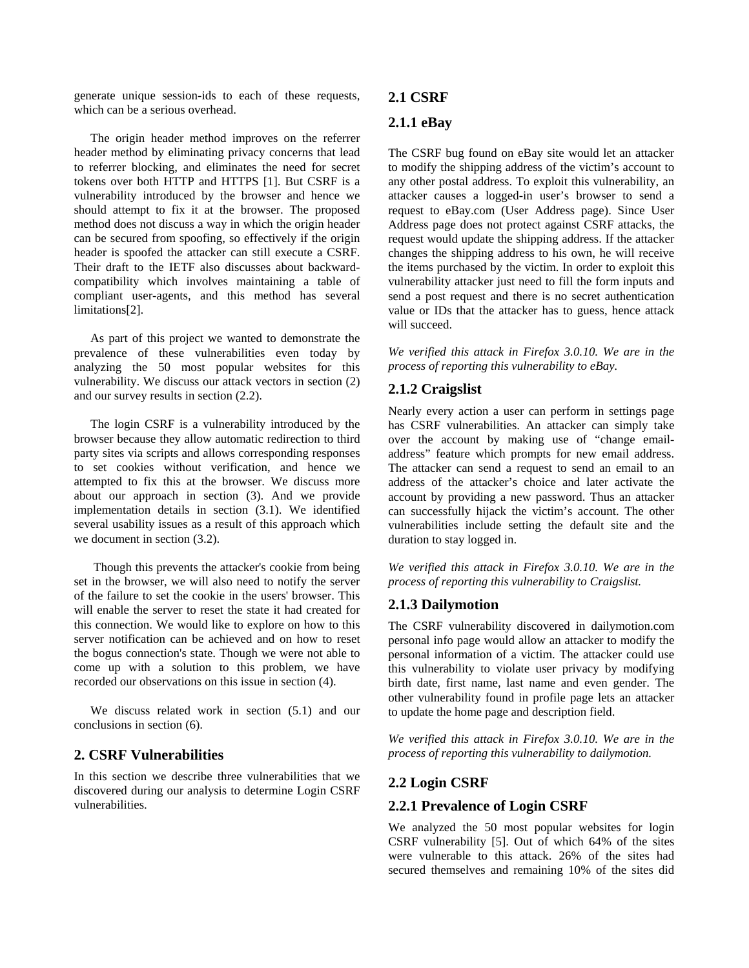generate unique session-ids to each of these requests, which can be a serious overhead.

The origin header method improves on the referrer header method by eliminating privacy concerns that lead to referrer blocking, and eliminates the need for secret tokens over both HTTP and HTTPS [1]. But CSRF is a vulnerability introduced by the browser and hence we should attempt to fix it at the browser. The proposed method does not discuss a way in which the origin header can be secured from spoofing, so effectively if the origin header is spoofed the attacker can still execute a CSRF. Their draft to the IETF also discusses about backwardcompatibility which involves maintaining a table of compliant user-agents, and this method has several limitations[2].

As part of this project we wanted to demonstrate the prevalence of these vulnerabilities even today by analyzing the 50 most popular websites for this vulnerability. We discuss our attack vectors in section (2) and our survey results in section (2.2).

The login CSRF is a vulnerability introduced by the browser because they allow automatic redirection to third party sites via scripts and allows corresponding responses to set cookies without verification, and hence we attempted to fix this at the browser. We discuss more about our approach in section (3). And we provide implementation details in section (3.1). We identified several usability issues as a result of this approach which we document in section (3.2).

 Though this prevents the attacker's cookie from being set in the browser, we will also need to notify the server of the failure to set the cookie in the users' browser. This will enable the server to reset the state it had created for this connection. We would like to explore on how to this server notification can be achieved and on how to reset the bogus connection's state. Though we were not able to come up with a solution to this problem, we have recorded our observations on this issue in section (4).

We discuss related work in section (5.1) and our conclusions in section (6).

### **2. CSRF Vulnerabilities**

In this section we describe three vulnerabilities that we discovered during our analysis to determine Login CSRF vulnerabilities.

#### **2.1 CSRF**

### **2.1.1 eBay**

The CSRF bug found on eBay site would let an attacker to modify the shipping address of the victim's account to any other postal address. To exploit this vulnerability, an attacker causes a logged-in user's browser to send a request to eBay.com (User Address page). Since User Address page does not protect against CSRF attacks, the request would update the shipping address. If the attacker changes the shipping address to his own, he will receive the items purchased by the victim. In order to exploit this vulnerability attacker just need to fill the form inputs and send a post request and there is no secret authentication value or IDs that the attacker has to guess, hence attack will succeed.

*We verified this attack in Firefox 3.0.10. We are in the process of reporting this vulnerability to eBay.* 

## **2.1.2 Craigslist**

Nearly every action a user can perform in settings page has CSRF vulnerabilities. An attacker can simply take over the account by making use of "change emailaddress" feature which prompts for new email address. The attacker can send a request to send an email to an address of the attacker's choice and later activate the account by providing a new password. Thus an attacker can successfully hijack the victim's account. The other vulnerabilities include setting the default site and the duration to stay logged in.

*We verified this attack in Firefox 3.0.10. We are in the process of reporting this vulnerability to Craigslist.* 

## **2.1.3 Dailymotion**

The CSRF vulnerability discovered in dailymotion.com personal info page would allow an attacker to modify the personal information of a victim. The attacker could use this vulnerability to violate user privacy by modifying birth date, first name, last name and even gender. The other vulnerability found in profile page lets an attacker to update the home page and description field.

*We verified this attack in Firefox 3.0.10. We are in the process of reporting this vulnerability to dailymotion.* 

#### **2.2 Login CSRF**

#### **2.2.1 Prevalence of Login CSRF**

We analyzed the 50 most popular websites for login CSRF vulnerability [5]. Out of which 64% of the sites were vulnerable to this attack. 26% of the sites had secured themselves and remaining 10% of the sites did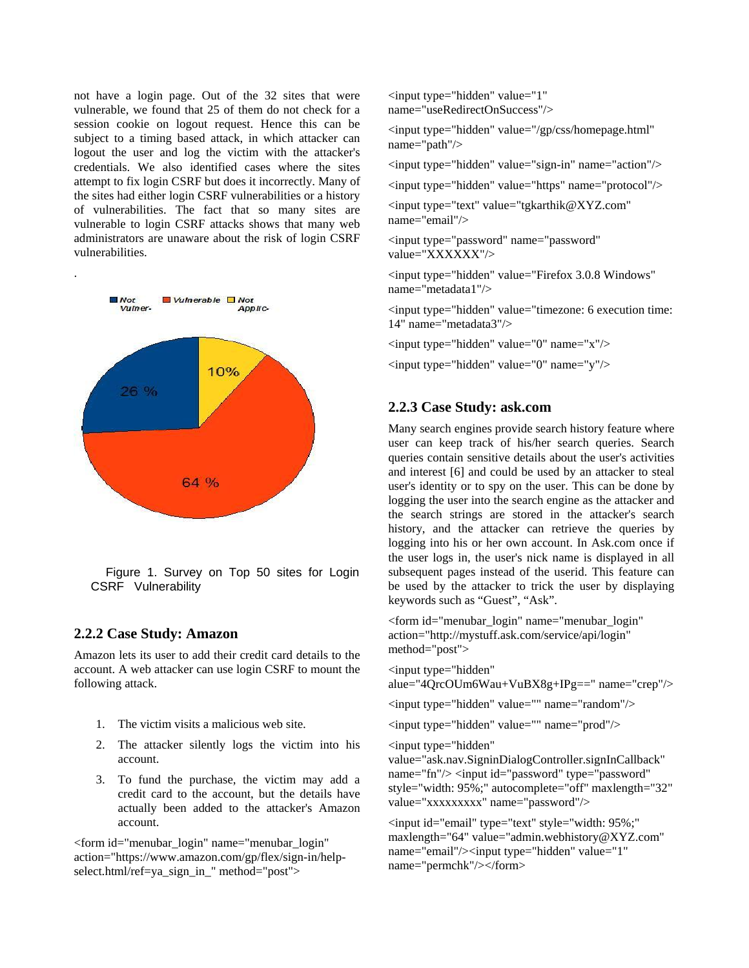not have a login page. Out of the 32 sites that were vulnerable, we found that 25 of them do not check for a session cookie on logout request. Hence this can be subject to a timing based attack, in which attacker can logout the user and log the victim with the attacker's credentials. We also identified cases where the sites attempt to fix login CSRF but does it incorrectly. Many of the sites had either login CSRF vulnerabilities or a history of vulnerabilities. The fact that so many sites are vulnerable to login CSRF attacks shows that many web administrators are unaware about the risk of login CSRF vulnerabilities.



Figure 1. Survey on Top 50 sites for Login CSRF Vulnerability

### **2.2.2 Case Study: Amazon**

Amazon lets its user to add their credit card details to the account. A web attacker can use login CSRF to mount the following attack.

- 1. The victim visits a malicious web site.
- 2. The attacker silently logs the victim into his account.
- 3. To fund the purchase, the victim may add a credit card to the account, but the details have actually been added to the attacker's Amazon account.

<form id="menubar\_login" name="menubar\_login" action="https://www.amazon.com/gp/flex/sign-in/helpselect.html/ref=ya\_sign\_in\_" method="post">

<input type="hidden" value="1" name="useRedirectOnSuccess"/>

<input type="hidden" value="/gp/css/homepage.html" name="path"/>

<input type="hidden" value="sign-in" name="action"/>

<input type="hidden" value="https" name="protocol"/>

<input type="text" value="tgkarthik@XYZ.com" name="email"/>

<input type="password" name="password" value="XXXXXX"/>

<input type="hidden" value="Firefox 3.0.8 Windows" name="metadata1"/>

<input type="hidden" value="timezone: 6 execution time: 14" name="metadata3"/>

<input type="hidden" value="0" name="x"/>

<input type="hidden" value="0" name="y"/>

### **2.2.3 Case Study: ask.com**

Many search engines provide search history feature where user can keep track of his/her search queries. Search queries contain sensitive details about the user's activities and interest [6] and could be used by an attacker to steal user's identity or to spy on the user. This can be done by logging the user into the search engine as the attacker and the search strings are stored in the attacker's search history, and the attacker can retrieve the queries by logging into his or her own account. In Ask.com once if the user logs in, the user's nick name is displayed in all subsequent pages instead of the userid. This feature can be used by the attacker to trick the user by displaying keywords such as "Guest", "Ask".

<form id="menubar\_login" name="menubar\_login" action="http://mystuff.ask.com/service/api/login" method="post">

<input type="hidden"

alue="4QrcOUm6Wau+VuBX8g+IPg==" name="crep"/>

<input type="hidden" value="" name="random"/>

<input type="hidden" value="" name="prod"/>

<input type="hidden"

value="ask.nav.SigninDialogController.signInCallback" name="fn"/> <input id="password" type="password" style="width: 95%;" autocomplete="off" maxlength="32" value="xxxxxxxxx" name="password"/>

<input id="email" type="text" style="width: 95%;" maxlength="64" value="admin.webhistory@XYZ.com" name="email"/><input type="hidden" value="1" name="permchk"/></form>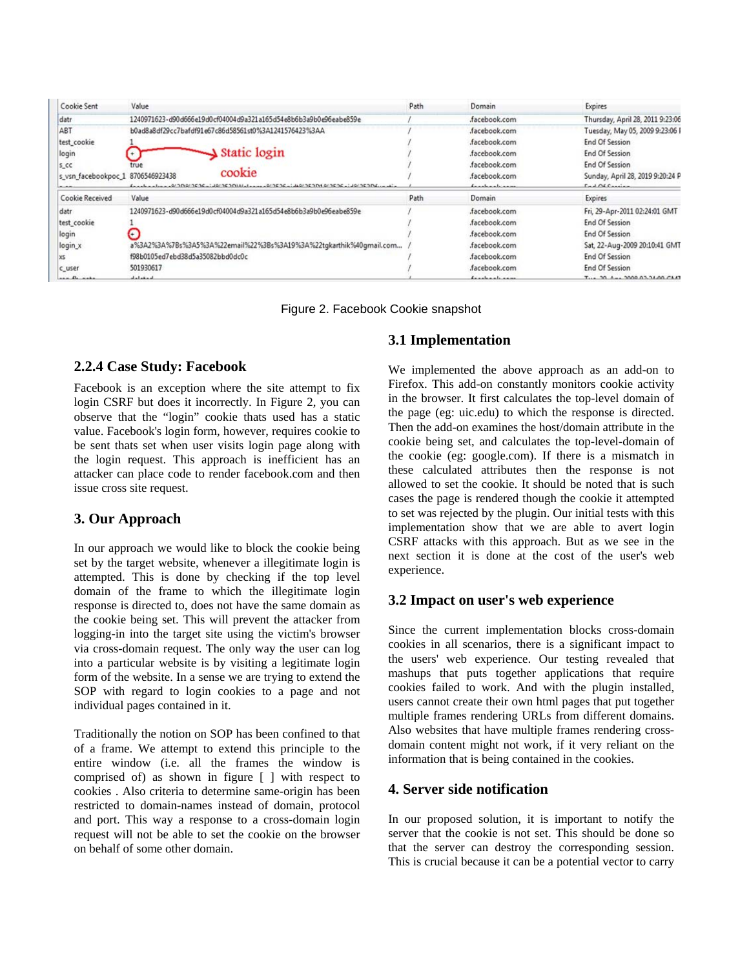| Cookie Sent                       | Value                                                                              | Path | Domain           | Expires                          |
|-----------------------------------|------------------------------------------------------------------------------------|------|------------------|----------------------------------|
| datr                              | 1240971623-d90d666e19d0cf04004d9a321a165d54e8b6b3a9b0e96eabe859e                   |      | .facebook.com    | Thursday, April 28, 2011 9:23:06 |
| ABT                               | b0ad8a8df29cc7bafdf91e67c86d58561st0%3A1241576423%3AA                              |      | .facebook.com    | Tuesday, May 05, 2009 9:23:06 I  |
| test_cookie                       |                                                                                    |      | .facebook.com    | End Of Session                   |
| login                             | $\triangle$ Static login                                                           |      | facebook.com     | End Of Session                   |
| $5$ <sub>C</sub> C                | true                                                                               |      | facebook.com     | <b>End Of Session</b>            |
| s_vsn_facebookpoc_1 8706546923438 | cookie                                                                             |      | facebook.com     | Sunday, April 28, 2019 9:20:24 P |
| $-$                               | facebooks-be-0/300/3536-1-10/353014/-1-----0/3526-1-40/353010/3536-1-10/35306----- |      | fanals and same. | $radO4$ $C$ $rad$                |
| Cookie Received                   | Value                                                                              | Path | Domain           | Expires                          |
| datr                              | 1240971623-d90d666e19d0cf04004d9a321a165d54e8b6b3a9b0e96eabe859e                   |      | .facebook.com    | Fri, 29-Apr-2011 02:24:01 GMT    |
| test_cookie                       |                                                                                    |      | facebook.com     | <b>End Of Session</b>            |
| login                             | ٠                                                                                  |      | .facebook.com    | <b>End Of Session</b>            |
| login_x                           | a%3A2%3A%7Bs%3A5%3A%22email%22%3Bs%3A19%3A%22tgkarthik%40gmail.com                 |      | .facebook.com    | Sat, 22-Aug-2009 20:10:41 GMT    |
| XS                                | f98b0105ed7ebd38d5a35082bbd0dc0c                                                   |      | .facebook.com    | <b>End Of Session</b>            |
| c_user                            | 501930617                                                                          |      | facebook.com     | <b>End Of Session</b>            |
| and the asks                      | المسقمة سالب                                                                       |      | fanals and same  | T., 30 A., 3000 03.34.00 CM3     |

Figure 2. Facebook Cookie snapshot

# **2.2.4 Case Study: Facebook**

Facebook is an exception where the site attempt to fix login CSRF but does it incorrectly. In Figure 2, you can observe that the "login" cookie thats used has a static value. Facebook's login form, however, requires cookie to be sent thats set when user visits login page along with the login request. This approach is inefficient has an attacker can place code to render facebook.com and then issue cross site request.

## **3. Our Approach**

In our approach we would like to block the cookie being set by the target website, whenever a illegitimate login is attempted. This is done by checking if the top level domain of the frame to which the illegitimate login response is directed to, does not have the same domain as the cookie being set. This will prevent the attacker from logging-in into the target site using the victim's browser via cross-domain request. The only way the user can log into a particular website is by visiting a legitimate login form of the website. In a sense we are trying to extend the SOP with regard to login cookies to a page and not individual pages contained in it.

Traditionally the notion on SOP has been confined to that of a frame. We attempt to extend this principle to the entire window (i.e. all the frames the window is comprised of) as shown in figure [ ] with respect to cookies . Also criteria to determine same-origin has been restricted to domain-names instead of domain, protocol and port. This way a response to a cross-domain login request will not be able to set the cookie on the browser on behalf of some other domain.

## **3.1 Implementation**

We implemented the above approach as an add-on to Firefox. This add-on constantly monitors cookie activity in the browser. It first calculates the top-level domain of the page (eg: uic.edu) to which the response is directed. Then the add-on examines the host/domain attribute in the cookie being set, and calculates the top-level-domain of the cookie (eg: google.com). If there is a mismatch in these calculated attributes then the response is not allowed to set the cookie. It should be noted that is such cases the page is rendered though the cookie it attempted to set was rejected by the plugin. Our initial tests with this implementation show that we are able to avert login CSRF attacks with this approach. But as we see in the next section it is done at the cost of the user's web experience.

## **3.2 Impact on user's web experience**

Since the current implementation blocks cross-domain cookies in all scenarios, there is a significant impact to the users' web experience. Our testing revealed that mashups that puts together applications that require cookies failed to work. And with the plugin installed, users cannot create their own html pages that put together multiple frames rendering URLs from different domains. Also websites that have multiple frames rendering crossdomain content might not work, if it very reliant on the information that is being contained in the cookies.

## **4. Server side notification**

In our proposed solution, it is important to notify the server that the cookie is not set. This should be done so that the server can destroy the corresponding session. This is crucial because it can be a potential vector to carry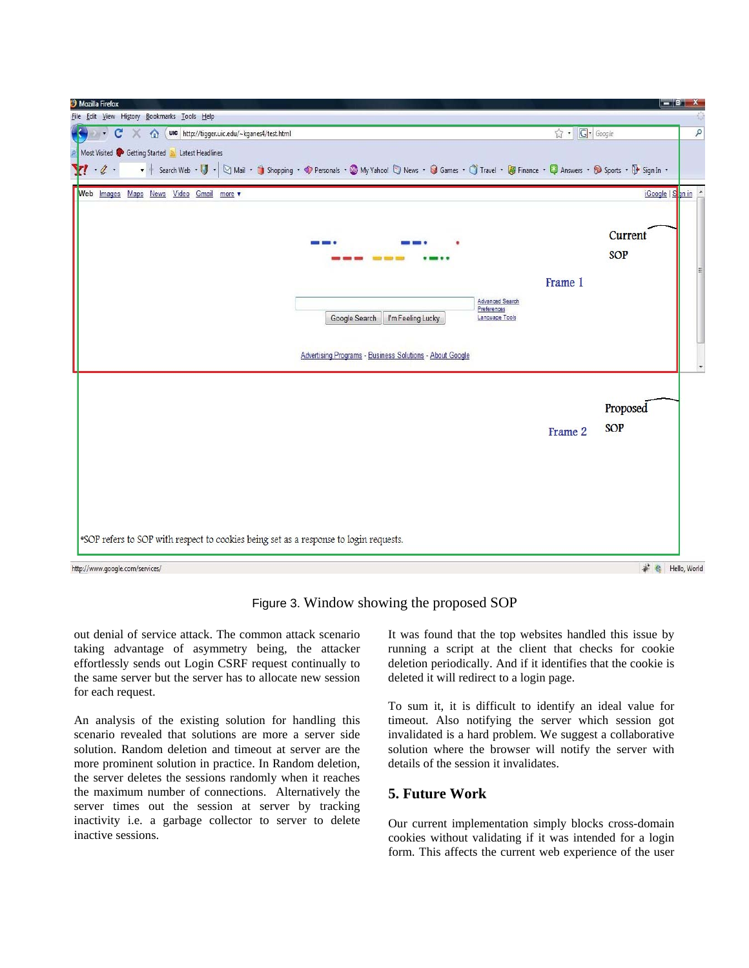

Figure 3. Window showing the proposed SOP

out denial of service attack. The common attack scenario taking advantage of asymmetry being, the attacker effortlessly sends out Login CSRF request continually to the same server but the server has to allocate new session for each request.

An analysis of the existing solution for handling this scenario revealed that solutions are more a server side solution. Random deletion and timeout at server are the more prominent solution in practice. In Random deletion, the server deletes the sessions randomly when it reaches the maximum number of connections. Alternatively the server times out the session at server by tracking inactivity i.e. a garbage collector to server to delete inactive sessions.

It was found that the top websites handled this issue by running a script at the client that checks for cookie deletion periodically. And if it identifies that the cookie is deleted it will redirect to a login page.

To sum it, it is difficult to identify an ideal value for timeout. Also notifying the server which session got invalidated is a hard problem. We suggest a collaborative solution where the browser will notify the server with details of the session it invalidates.

## **5. Future Work**

Our current implementation simply blocks cross-domain cookies without validating if it was intended for a login form. This affects the current web experience of the user